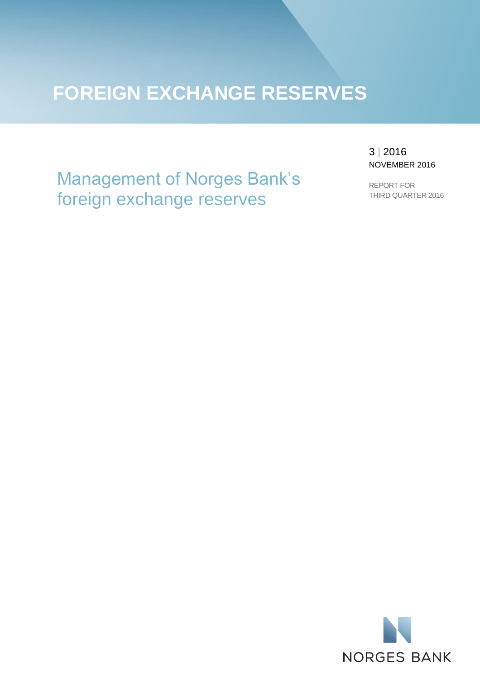# **FOREIGN EXCHANGE RESERVES**

Management of Norges Bank's foreign exchange reserves

3 | 2016 NOVEMBER 2016

REPORT FOR THIRD QUARTER 2016

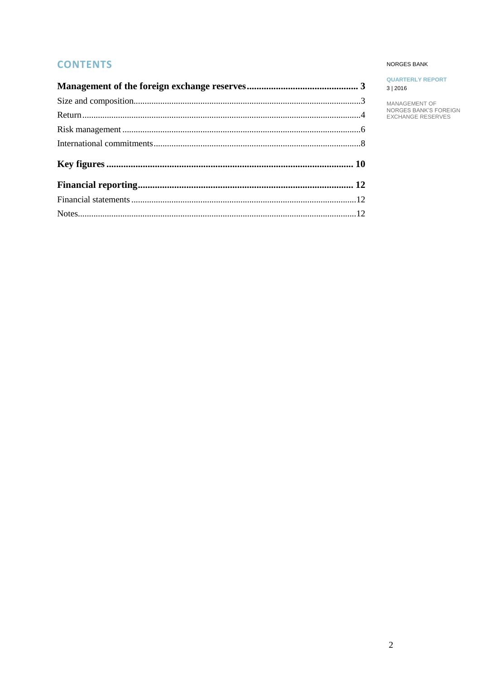# **CONTENTS**

## NORGES BANK

## **QUARTERLY REPORT**  $3 | 2016$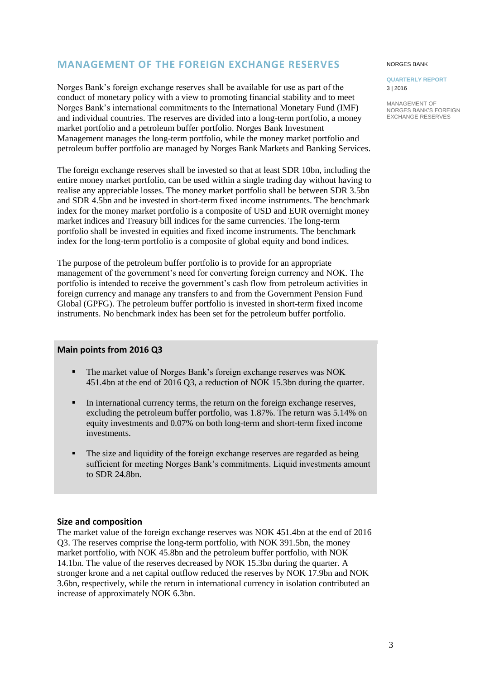# <span id="page-2-0"></span>**MANAGEMENT OF THE FOREIGN EXCHANGE RESERVES**

Norges Bank's foreign exchange reserves shall be available for use as part of the conduct of monetary policy with a view to promoting financial stability and to meet Norges Bank's international commitments to the International Monetary Fund (IMF) and individual countries. The reserves are divided into a long-term portfolio, a money market portfolio and a petroleum buffer portfolio. Norges Bank Investment Management manages the long-term portfolio, while the money market portfolio and petroleum buffer portfolio are managed by Norges Bank Markets and Banking Services.

The foreign exchange reserves shall be invested so that at least SDR 10bn, including the entire money market portfolio, can be used within a single trading day without having to realise any appreciable losses. The money market portfolio shall be between SDR 3.5bn and SDR 4.5bn and be invested in short-term fixed income instruments. The benchmark index for the money market portfolio is a composite of USD and EUR overnight money market indices and Treasury bill indices for the same currencies. The long-term portfolio shall be invested in equities and fixed income instruments. The benchmark index for the long-term portfolio is a composite of global equity and bond indices.

The purpose of the petroleum buffer portfolio is to provide for an appropriate management of the government's need for converting foreign currency and NOK. The portfolio is intended to receive the government's cash flow from petroleum activities in foreign currency and manage any transfers to and from the Government Pension Fund Global (GPFG). The petroleum buffer portfolio is invested in short-term fixed income instruments. No benchmark index has been set for the petroleum buffer portfolio.

## **Main points from 2016 Q3**

- The market value of Norges Bank's foreign exchange reserves was NOK 451.4bn at the end of 2016 Q3, a reduction of NOK 15.3bn during the quarter.
- In international currency terms, the return on the foreign exchange reserves, excluding the petroleum buffer portfolio, was 1.87%. The return was 5.14% on equity investments and 0.07% on both long-term and short-term fixed income investments.
- The size and liquidity of the foreign exchange reserves are regarded as being sufficient for meeting Norges Bank's commitments. Liquid investments amount to SDR 24.8bn.

## <span id="page-2-1"></span>**Size and composition**

The market value of the foreign exchange reserves was NOK 451.4bn at the end of 2016 Q3. The reserves comprise the long-term portfolio, with NOK 391.5bn, the money market portfolio, with NOK 45.8bn and the petroleum buffer portfolio, with NOK 14.1bn. The value of the reserves decreased by NOK 15.3bn during the quarter. A stronger krone and a net capital outflow reduced the reserves by NOK 17.9bn and NOK 3.6bn, respectively, while the return in international currency in isolation contributed an increase of approximately NOK 6.3bn.

#### NORGES BANK

### **QUARTERLY REPORT** 3 | 2016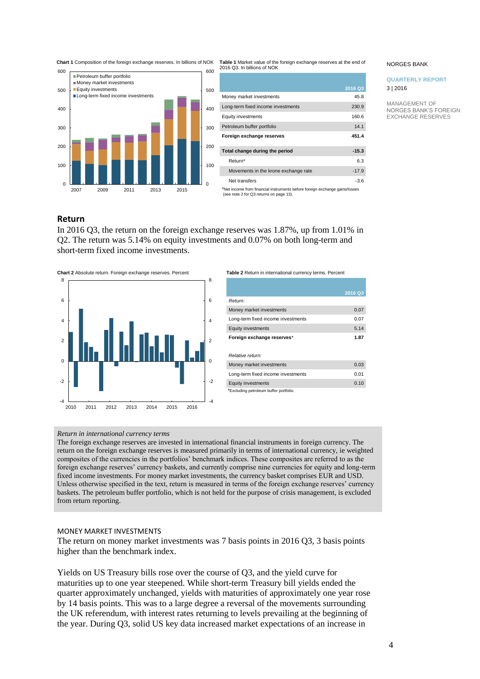**Chart 1** Composition of the foreign exchange reserves. In billions of NOK **Table 1** Market value of the foreign exchange reserves at the end of



| 2016 Q3. In billions of NOK                                                 |         |
|-----------------------------------------------------------------------------|---------|
|                                                                             |         |
|                                                                             | 2016 Q3 |
| Money market investments                                                    | 45.8    |
| Long-term fixed income investments                                          | 230.9   |
| Equity investments                                                          | 160.6   |
| Petroleum buffer portfolio                                                  | 14.1    |
| Foreign exchange reserves                                                   | 451.4   |
| Total change during the period                                              | $-15.3$ |
| Return*                                                                     | 6.3     |
| Movements in the krone exchange rate                                        | $-17.9$ |
| Net transfers                                                               | $-3.6$  |
| *Net income from financial instruments before foreign exchange gains/losses |         |

\*Net income from financial instruments before foreign exchange gains/losses (see note 2 for Q3 returns on page 13).

## <span id="page-3-0"></span>**Return**

In 2016 Q3, the return on the foreign exchange reserves was 1.87%, up from 1.01% in Q2. The return was 5.14% on equity investments and 0.07% on both long-term and short-term fixed income investments.



|                                        | 2016 Q3 |
|----------------------------------------|---------|
| Return:                                |         |
| Money market investments               | 0.07    |
| Long-term fixed income investments     | 0.07    |
| <b>Equity investments</b>              | 5.14    |
| Foreign exchange reserves*             | 1.87    |
|                                        |         |
| Relative return:                       |         |
| Money market investments               | 0.03    |
| Long-term fixed income investments     | 0.01    |
| <b>Equity investments</b>              | 0.10    |
| *Excluding petroleum buffer portfolio. |         |

## *Return in international currency terms*

The foreign exchange reserves are invested in international financial instruments in foreign currency. The return on the foreign exchange reserves is measured primarily in terms of international currency, ie weighted composites of the currencies in the portfolios' benchmark indices. These composites are referred to as the foreign exchange reserves' currency baskets, and currently comprise nine currencies for equity and long-term fixed income investments. For money market investments, the currency basket comprises EUR and USD. Unless otherwise specified in the text, return is measured in terms of the foreign exchange reserves' currency baskets. The petroleum buffer portfolio, which is not held for the purpose of crisis management, is excluded from return reporting.

## MONEY MARKET INVESTMENTS

The return on money market investments was 7 basis points in 2016 Q3, 3 basis points higher than the benchmark index.

Yields on US Treasury bills rose over the course of Q3, and the yield curve for maturities up to one year steepened. While short-term Treasury bill yields ended the quarter approximately unchanged, yields with maturities of approximately one year rose by 14 basis points. This was to a large degree a reversal of the movements surrounding the UK referendum, with interest rates returning to levels prevailing at the beginning of the year. During Q3, solid US key data increased market expectations of an increase in

#### NORGES BANK

## **QUARTERLY REPORT** 3 | 2016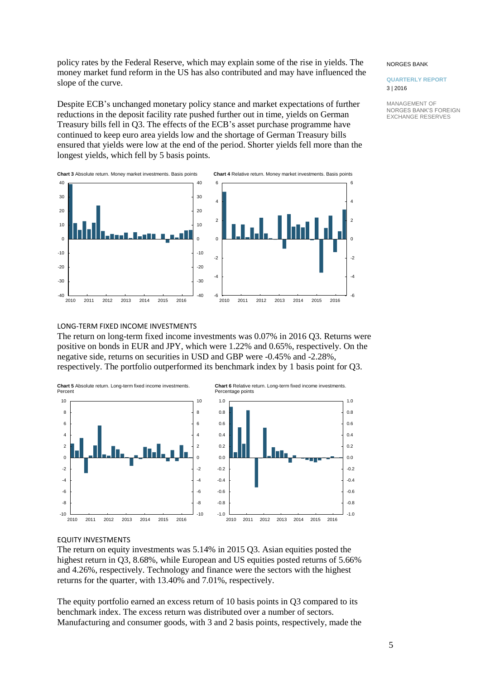policy rates by the Federal Reserve, which may explain some of the rise in yields. The money market fund reform in the US has also contributed and may have influenced the slope of the curve.

Despite ECB's unchanged monetary policy stance and market expectations of further reductions in the deposit facility rate pushed further out in time, yields on German Treasury bills fell in Q3. The effects of the ECB's asset purchase programme have continued to keep euro area yields low and the shortage of German Treasury bills ensured that yields were low at the end of the period. Shorter yields fell more than the longest yields, which fell by 5 basis points.



#### NORGES BANK

### **QUARTERLY REPORT** 3 | 2016

MANAGEMENT OF NORGES BANK'S FOREIGN EXCHANGE RESERVES

## LONG-TERM FIXED INCOME INVESTMENTS

The return on long-term fixed income investments was 0.07% in 2016 Q3. Returns were positive on bonds in EUR and JPY, which were 1.22% and 0.65%, respectively. On the negative side, returns on securities in USD and GBP were -0.45% and -2.28%, respectively. The portfolio outperformed its benchmark index by 1 basis point for Q3.



## EQUITY INVESTMENTS

The return on equity investments was 5.14% in 2015 Q3. Asian equities posted the highest return in Q3, 8.68%, while European and US equities posted returns of 5.66% and 4.26%, respectively. Technology and finance were the sectors with the highest returns for the quarter, with 13.40% and 7.01%, respectively.

The equity portfolio earned an excess return of 10 basis points in Q3 compared to its benchmark index. The excess return was distributed over a number of sectors. Manufacturing and consumer goods, with 3 and 2 basis points, respectively, made the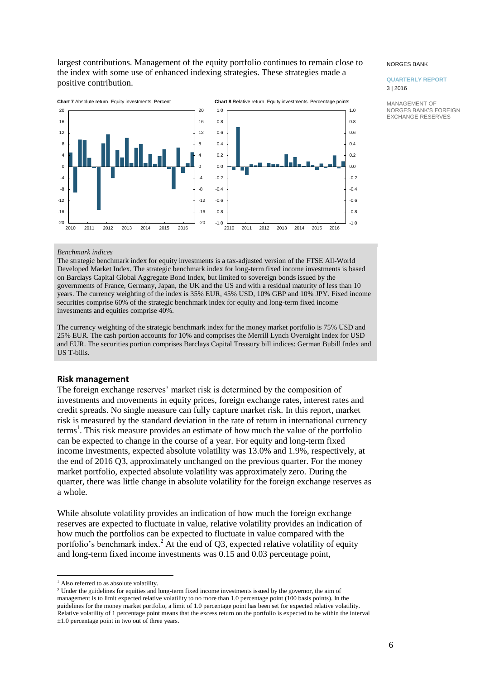largest contributions. Management of the equity portfolio continues to remain close to the index with some use of enhanced indexing strategies. These strategies made a positive contribution.



#### NORGES BANK

## **QUARTERLY REPORT** 3 | 2016

MANAGEMENT OF NORGES BANK'S FOREIGN EXCHANGE RESERVES

## *Benchmark indices*

The strategic benchmark index for equity investments is a tax-adjusted version of the FTSE All-World Developed Market Index. The strategic benchmark index for long-term fixed income investments is based on Barclays Capital Global Aggregate Bond Index, but limited to sovereign bonds issued by the governments of France, Germany, Japan, the UK and the US and with a residual maturity of less than 10 years. The currency weighting of the index is 35% EUR, 45% USD, 10% GBP and 10% JPY. Fixed income securities comprise 60% of the strategic benchmark index for equity and long-term fixed income investments and equities comprise 40%.

The currency weighting of the strategic benchmark index for the money market portfolio is 75% USD and 25% EUR. The cash portion accounts for 10% and comprises the Merrill Lynch Overnight Index for USD and EUR. The securities portion comprises Barclays Capital Treasury bill indices: German Bubill Index and US T-bills.

## <span id="page-5-0"></span>**Risk management**

The foreign exchange reserves' market risk is determined by the composition of investments and movements in equity prices, foreign exchange rates, interest rates and credit spreads. No single measure can fully capture market risk. In this report, market risk is measured by the standard deviation in the rate of return in international currency terms<sup>1</sup>. This risk measure provides an estimate of how much the value of the portfolio can be expected to change in the course of a year. For equity and long-term fixed income investments, expected absolute volatility was 13.0% and 1.9%, respectively, at the end of 2016 Q3, approximately unchanged on the previous quarter. For the money market portfolio, expected absolute volatility was approximately zero. During the quarter, there was little change in absolute volatility for the foreign exchange reserves as a whole.

While absolute volatility provides an indication of how much the foreign exchange reserves are expected to fluctuate in value, relative volatility provides an indication of how much the portfolios can be expected to fluctuate in value compared with the portfolio's benchmark index.<sup>2</sup> At the end of  $Q3$ , expected relative volatility of equity and long-term fixed income investments was 0.15 and 0.03 percentage point,

l

<sup>2</sup> Under the guidelines for equities and long-term fixed income investments issued by the governor, the aim of management is to limit expected relative volatility to no more than 1.0 percentage point (100 basis points). In the guidelines for the money market portfolio, a limit of 1.0 percentage point has been set for expected relative volatility. Relative volatility of 1 percentage point means that the excess return on the portfolio is expected to be within the interval ±1.0 percentage point in two out of three years.

<sup>&</sup>lt;sup>1</sup> Also referred to as absolute volatility.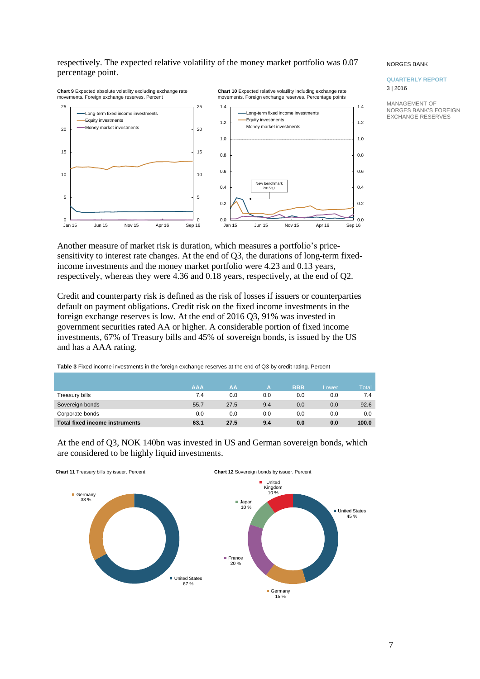## respectively. The expected relative volatility of the money market portfolio was 0.07 percentage point.

#### **Chart 9** Expected absolute volatility excluding exchange rate movements. Foreign exchange reserves. Percent **Chart 10** Expected relative volatility including exchange rate movements. Foreign exchange reserves. Percentage points 5 10 15 20 25 5 10 15 20 25 Long-term fixed income investments Equity investments -Money market investments  $\frac{1}{\text{Sen 16}}$  0.0 0.2 0.4 0.6 0.8 1.0 1.2 1.4  $_{\rm 0.0}^{\rm 0.0}$   $_{\rm Jan\ 15}^{\rm 0.0}$ 0.2 0.4 0.6 0.8 1.0 1.2 1.4 Long-term fixed income investments Equity investments -Money market investments New benchmark 2015Q1

#### NORGES BANK

## **QUARTERLY REPORT** 3 | 2016

MANAGEMENT OF NORGES BANK'S FOREIGN EXCHANGE RESERVES

Another measure of market risk is duration, which measures a portfolio's pricesensitivity to interest rate changes. At the end of Q3, the durations of long-term fixedincome investments and the money market portfolio were 4.23 and 0.13 years, respectively, whereas they were 4.36 and 0.18 years, respectively, at the end of Q2.

Jan 15 Jun 15 Nov 15 Apr 16 Sep 16

0

Jan 15 Jun 15 Nov 15 Apr 16 Sep 16

 $0$  –<br>Jan 15

Credit and counterparty risk is defined as the risk of losses if issuers or counterparties default on payment obligations. Credit risk on the fixed income investments in the foreign exchange reserves is low. At the end of 2016 Q3, 91% was invested in government securities rated AA or higher. A considerable portion of fixed income investments, 67% of Treasury bills and 45% of sovereign bonds, is issued by the US and has a AAA rating.

| Table 3 Fixed income investments in the foreign exchange reserves at the end of Q3 by credit rating. Percent |  |
|--------------------------------------------------------------------------------------------------------------|--|
|                                                                                                              |  |

|                                       | <b>AAA</b> | AA   | А   | <b>BBB</b> | Lower | <b>Total</b> |
|---------------------------------------|------------|------|-----|------------|-------|--------------|
| Treasury bills                        | 7.4        | 0.0  | 0.0 | 0.0        | 0.0   | 7.4          |
| Sovereign bonds                       | 55.7       | 27.5 | 9.4 | 0.0        | 0.0   | 92.6         |
| Corporate bonds                       | 0.0        | 0.0  | 0.0 | 0.0        | 0.0   | 0.0          |
| <b>Total fixed income instruments</b> | 63.1       | 27.5 | 9.4 | 0.0        | 0.0   | 100.0        |

<span id="page-6-0"></span>

At the end of Q3, NOK 140bn was invested in US and German sovereign bonds, which are considered to be highly liquid investments.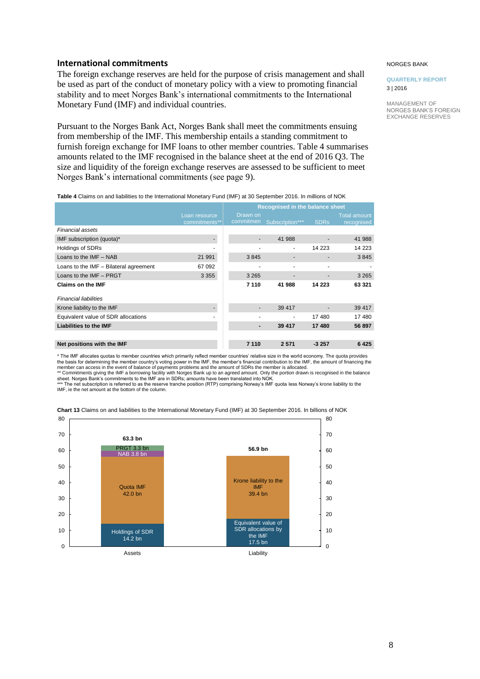## **International commitments**

The foreign exchange reserves are held for the purpose of crisis management and shall be used as part of the conduct of monetary policy with a view to promoting financial stability and to meet Norges Bank's international commitments to the International Monetary Fund (IMF) and individual countries.

Pursuant to the Norges Bank Act, Norges Bank shall meet the commitments ensuing from membership of the IMF. This membership entails a standing commitment to furnish foreign exchange for IMF loans to other member countries. Table 4 summarises amounts related to the IMF recognised in the balance sheet at the end of 2016 Q3. The size and liquidity of the foreign exchange reserves are assessed to be sufficient to meet Norges Bank's international commitments (see page 9).

#### NORGES BANK

#### **QUARTERLY REPORT** 3 | 2016

MANAGEMENT OF NORGES BANK'S FOREIGN EXCHANGE RESERVES

| Table 4 Claims on and liabilities to the International Monetary Fund (IMF) at 30 September 2016. In millions of NOK |  |  |
|---------------------------------------------------------------------------------------------------------------------|--|--|

| $\sim$ 0.000 0.000 0.000 0.000 0.000 0.000 0.000 0.000 0.000 0.000 0.000 0.000 0.000 0.000 0.000 0.000 0.000 0.000 0.000 0.000 0.000 0.000 0.000 0.000 0.000 0.000 0.000 0.000 0.000 0.000 0.000 0.000 0.000 0.000 0.000 0.000 |                                |                                 |                 |             |                                   |  |  |
|--------------------------------------------------------------------------------------------------------------------------------------------------------------------------------------------------------------------------------|--------------------------------|---------------------------------|-----------------|-------------|-----------------------------------|--|--|
|                                                                                                                                                                                                                                |                                | Recognised in the balance sheet |                 |             |                                   |  |  |
|                                                                                                                                                                                                                                | Loan resource<br>commitments** | Drawn on<br>commitmen           | Subscription*** | <b>SDRs</b> | <b>Total amount</b><br>recognised |  |  |
| Financial assets                                                                                                                                                                                                               |                                |                                 |                 |             |                                   |  |  |
| IMF subscription (quota)*                                                                                                                                                                                                      |                                |                                 | 41 988          |             | 41 988                            |  |  |
| <b>Holdings of SDRs</b>                                                                                                                                                                                                        |                                |                                 | ۰               | 14 223      | 14 2 23                           |  |  |
| Loans to the $IMF - NAB$                                                                                                                                                                                                       | 21 991                         | 3845                            |                 |             | 3845                              |  |  |
| Loans to the IMF - Bilateral agreement                                                                                                                                                                                         | 67 092                         |                                 |                 |             |                                   |  |  |
| Loans to the IMF - PRGT                                                                                                                                                                                                        | 3 3 5 5                        | 3 2 6 5                         |                 |             | 3 2 6 5                           |  |  |
| <b>Claims on the IMF</b>                                                                                                                                                                                                       |                                | 7 1 1 0                         | 41 988          | 14 223      | 63 321                            |  |  |
| <b>Financial liabilities</b>                                                                                                                                                                                                   |                                |                                 |                 |             |                                   |  |  |
| Krone liability to the IMF                                                                                                                                                                                                     |                                |                                 | 39 417          |             | 39 417                            |  |  |
| Equivalent value of SDR allocations                                                                                                                                                                                            |                                |                                 |                 | 17480       | 17 480                            |  |  |
| <b>Liabilities to the IMF</b>                                                                                                                                                                                                  |                                |                                 | 39 417          | 17480       | 56 897                            |  |  |
|                                                                                                                                                                                                                                |                                |                                 |                 |             |                                   |  |  |
| Net positions with the IMF                                                                                                                                                                                                     |                                | 7 1 1 0                         | 2571            | $-3257$     | 6425                              |  |  |

\* The IMF allocates quotas to member countries which primarily reflect member countries' relative size in the world economy. The quota provides the basis for determining the member country's voting power in the IMF, the member's financial contribution to the IMF, the amount of financing the<br>member can access in the event of balance of payments problems and the amo

\*\* Commitments giving the IMF a borrowing facility with Norges Bank up to an agreed amount. Only the portion drawn is recognised in the balance<br>sheet. Norges Bank's commitments to the IMF are in SDRs; amounts have been tra

IMF, ie the net amount at the bottom of the column.



**Chart 13** Claims on and liabilities to the International Monetary Fund (IMF) at 30 September 2016. In billions of NOK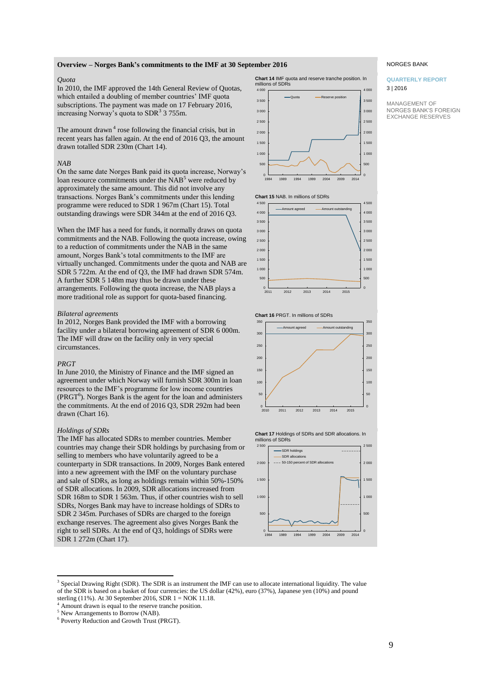## **Overview – Norges Bank's commitments to the IMF at 30 September 2016**

## *Quota*

In 2010, the IMF approved the 14th General Review of Quotas, which entailed a doubling of member countries' IMF quota subscriptions. The payment was made on 17 February 2016, increasing Norway's quota to  $SDR<sup>3</sup>$  3 755m.

The amount drawn<sup>4</sup> rose following the financial crisis, but in recent years has fallen again. At the end of 2016 Q3, the amount drawn totalled SDR 230m (Chart 14).

#### *NAB*

On the same date Norges Bank paid its quota increase, Norway's loan resource commitments under the NAB<sup>5</sup> were reduced by approximately the same amount. This did not involve any transactions. Norges Bank's commitments under this lending programme were reduced to SDR 1 967m (Chart 15). Total outstanding drawings were SDR 344m at the end of 2016 Q3.

When the IMF has a need for funds, it normally draws on quota commitments and the NAB. Following the quota increase, owing to a reduction of commitments under the NAB in the same amount, Norges Bank's total commitments to the IMF are virtually unchanged. Commitments under the quota and NAB are SDR 5 722m. At the end of Q3, the IMF had drawn SDR 574m. A further SDR 5 148m may thus be drawn under these arrangements. Following the quota increase, the NAB plays a more traditional role as support for quota-based financing.

#### *Bilateral agreements*

In 2012, Norges Bank provided the IMF with a borrowing facility under a bilateral borrowing agreement of SDR 6 000m. The IMF will draw on the facility only in very special circumstances.

#### *PRGT*

l

In June 2010, the Ministry of Finance and the IMF signed an agreement under which Norway will furnish SDR 300m in loan resources to the IMF's programme for low income countries  $(PRGT<sup>6</sup>)$ . Norges Bank is the agent for the loan and administers the commitments. At the end of 2016 Q3, SDR 292m had been drawn (Chart 16).

## *Holdings of SDRs*

The IMF has allocated SDRs to member countries. Member countries may change their SDR holdings by purchasing from or selling to members who have voluntarily agreed to be a counterparty in SDR transactions. In 2009, Norges Bank entered into a new agreement with the IMF on the voluntary purchase and sale of SDRs, as long as holdings remain within 50%-150% of SDR allocations. In 2009, SDR allocations increased from SDR 168m to SDR 1 563m. Thus, if other countries wish to sell SDRs, Norges Bank may have to increase holdings of SDRs to SDR 2 345m. Purchases of SDRs are charged to the foreign exchange reserves. The agreement also gives Norges Bank the right to sell SDRs. At the end of Q3, holdings of SDRs were SDR 1 272m (Chart 17).





## **Chart 15** NAB. In millions of SDRs



#### **Chart 16** PRGT. In millions of SDRs







#### NORGES BANK

#### **QUARTERLY REPORT** 3 | 2016

<sup>&</sup>lt;sup>3</sup> Special Drawing Right (SDR). The SDR is an instrument the IMF can use to allocate international liquidity. The value of the SDR is based on a basket of four currencies: the US dollar (42%), euro (37%), Japanese yen (10%) and pound sterling (11%). At 30 September 2016, SDR  $1 = NOK$  11.18.

Amount drawn is equal to the reserve tranche position.

<sup>5</sup> New Arrangements to Borrow (NAB).

<sup>6</sup> Poverty Reduction and Growth Trust (PRGT).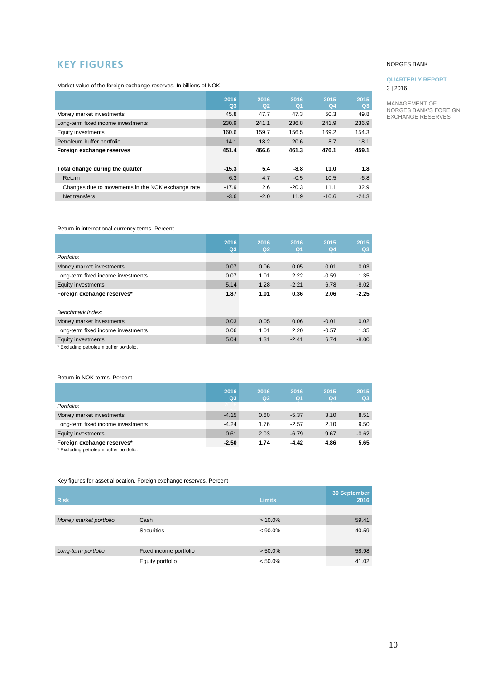# <span id="page-9-0"></span>**KEY FIGURES**

Market value of the foreign exchange reserves. In billions of NOK

|                                                   | 2016<br>$Q_3$ | 2016<br>Q <sub>2</sub> | 2016<br>Q <sub>1</sub> | 2015<br>Q <sub>4</sub> | 2015<br>Q3 |
|---------------------------------------------------|---------------|------------------------|------------------------|------------------------|------------|
| Money market investments                          | 45.8          | 47.7                   | 47.3                   | 50.3                   | 49.8       |
| Long-term fixed income investments                | 230.9         | 241.1                  | 236.8                  | 241.9                  | 236.9      |
| Equity investments                                | 160.6         | 159.7                  | 156.5                  | 169.2                  | 154.3      |
| Petroleum buffer portfolio                        | 14.1          | 18.2                   | 20.6                   | 8.7                    | 18.1       |
| Foreign exchange reserves                         | 451.4         | 466.6                  | 461.3                  | 470.1                  | 459.1      |
|                                                   |               |                        |                        |                        |            |
| Total change during the quarter                   | $-15.3$       | 5.4                    | $-8.8$                 | 11.0                   | 1.8        |
| Return                                            | 6.3           | 4.7                    | $-0.5$                 | 10.5                   | $-6.8$     |
| Changes due to movements in the NOK exchange rate | $-17.9$       | 2.6                    | $-20.3$                | 11.1                   | 32.9       |
| Net transfers                                     | $-3.6$        | $-2.0$                 | 11.9                   | $-10.6$                | $-24.3$    |

## Return in international currency terms. Percent

|                                         | 2016<br>Q <sub>3</sub> | 2016<br>Q2 | 2016<br>Q1 | 2015<br>Q <sub>4</sub> | 2015<br>Q3 |
|-----------------------------------------|------------------------|------------|------------|------------------------|------------|
| Portfolio:                              |                        |            |            |                        |            |
| Money market investments                | 0.07                   | 0.06       | 0.05       | 0.01                   | 0.03       |
| Long-term fixed income investments      | 0.07                   | 1.01       | 2.22       | $-0.59$                | 1.35       |
| <b>Equity investments</b>               | 5.14                   | 1.28       | $-2.21$    | 6.78                   | $-8.02$    |
| Foreign exchange reserves*              | 1.87                   | 1.01       | 0.36       | 2.06                   | $-2.25$    |
|                                         |                        |            |            |                        |            |
| Benchmark index:                        |                        |            |            |                        |            |
| Money market investments                | 0.03                   | 0.05       | 0.06       | $-0.01$                | 0.02       |
| Long-term fixed income investments      | 0.06                   | 1.01       | 2.20       | $-0.57$                | 1.35       |
| <b>Equity investments</b>               | 5.04                   | 1.31       | $-2.41$    | 6.74                   | $-8.00$    |
| * Excluding petroleum buffer portfolio. |                        |            |            |                        |            |

## Return in NOK terms. Percent

|                                                                       | 2016<br>Q <sub>3</sub> | 2016<br>Q <sub>2</sub> | 2016<br>Q <sub>1</sub> | 2015<br>Q <sub>4</sub> | 2015<br>Q <sub>3</sub> |
|-----------------------------------------------------------------------|------------------------|------------------------|------------------------|------------------------|------------------------|
| Portfolio:                                                            |                        |                        |                        |                        |                        |
| Money market investments                                              | $-4.15$                | 0.60                   | $-5.37$                | 3.10                   | 8.51                   |
| Long-term fixed income investments                                    | $-4.24$                | 1.76                   | $-2.57$                | 2.10                   | 9.50                   |
| <b>Equity investments</b>                                             | 0.61                   | 2.03                   | $-6.79$                | 9.67                   | $-0.62$                |
| Foreign exchange reserves*<br>* Excluding petroleum buffer portfolio. | $-2.50$                | 1.74                   | $-4.42$                | 4.86                   | 5.65                   |

Key figures for asset allocation. Foreign exchange reserves. Percent

| <b>Risk</b>            |                        | <b>Limits</b> | 30 September<br>2016 |
|------------------------|------------------------|---------------|----------------------|
|                        |                        |               |                      |
| Money market portfolio | Cash                   | $> 10.0\%$    | 59.41                |
|                        | <b>Securities</b>      | $< 90.0\%$    | 40.59                |
| Long-term portfolio    | Fixed income portfolio | $> 50.0\%$    | 58.98                |
|                        | Equity portfolio       | $< 50.0\%$    | 41.02                |

## NORGES BANK

## **QUARTERLY REPORT** 3 | 2016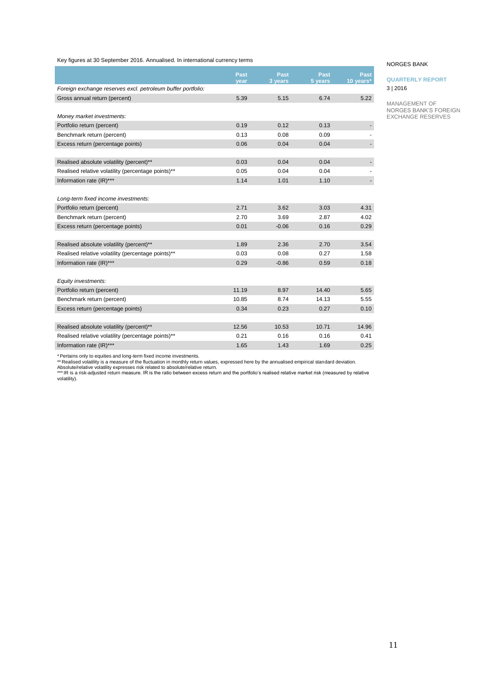Key figures at 30 September 2016. Annualised. In international currency terms

|                                                             | Past  | <b>Past</b> | Past    | Past      |
|-------------------------------------------------------------|-------|-------------|---------|-----------|
|                                                             | year  | 3 years     | 5 years | 10 years* |
| Foreign exchange reserves excl. petroleum buffer portfolio: |       |             |         |           |
| Gross annual return (percent)                               | 5.39  | 5.15        | 6.74    | 5.22      |
|                                                             |       |             |         |           |
| Money market investments:                                   |       |             |         |           |
| Portfolio return (percent)                                  | 0.19  | 0.12        | 0.13    |           |
| Benchmark return (percent)                                  | 0.13  | 0.08        | 0.09    |           |
| Excess return (percentage points)                           | 0.06  | 0.04        | 0.04    |           |
|                                                             |       |             |         |           |
| Realised absolute volatility (percent)**                    | 0.03  | 0.04        | 0.04    |           |
| Realised relative volatility (percentage points)**          | 0.05  | 0.04        | 0.04    |           |
| Information rate (IR)***                                    | 1.14  | 1.01        | 1.10    |           |
|                                                             |       |             |         |           |
| Long-term fixed income investments:                         |       |             |         |           |
| Portfolio return (percent)                                  | 2.71  | 3.62        | 3.03    | 4.31      |
| Benchmark return (percent)                                  | 2.70  | 3.69        | 2.87    | 4.02      |
| Excess return (percentage points)                           | 0.01  | $-0.06$     | 0.16    | 0.29      |
|                                                             |       |             |         |           |
| Realised absolute volatility (percent)**                    | 1.89  | 2.36        | 2.70    | 3.54      |
| Realised relative volatility (percentage points)**          | 0.03  | 0.08        | 0.27    | 1.58      |
| Information rate (IR)***                                    | 0.29  | $-0.86$     | 0.59    | 0.18      |
|                                                             |       |             |         |           |
| Equity investments:                                         |       |             |         |           |
| Portfolio return (percent)                                  | 11.19 | 8.97        | 14.40   | 5.65      |
| Benchmark return (percent)                                  | 10.85 | 8.74        | 14.13   | 5.55      |
| Excess return (percentage points)                           | 0.34  | 0.23        | 0.27    | 0.10      |
|                                                             |       |             |         |           |
| Realised absolute volatility (percent)**                    | 12.56 | 10.53       | 10.71   | 14.96     |
| Realised relative volatility (percentage points)**          | 0.21  | 0.16        | 0.16    | 0.41      |
| Information rate (IR)***                                    | 1.65  | 1.43        | 1.69    | 0.25      |

#### NORGES BANK

## **QUARTERLY REPORT** 3 | 2016

MANAGEMENT OF NORGES BANK'S FOREIGN EXCHANGE RESERVES

\* Pertains only to equities and long-term fixed income investments.<br>\*\* Realised volatility is a measure of the fluctuation in monthly return values, expressed here by the annualised empirical standard deviation.<br>Absolute/r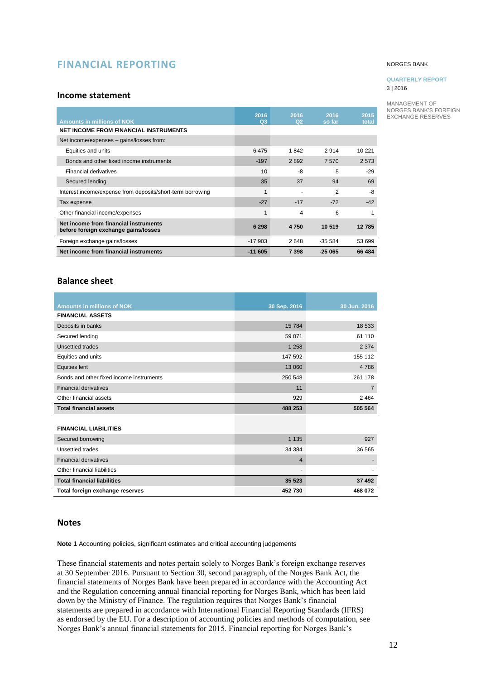# <span id="page-11-0"></span>**FINANCIAL REPORTING**

## <span id="page-11-1"></span>**Income statement**

| <b>Amounts in millions of NOK</b>                                             | 2016<br>$Q_3$ | 2016<br>Q2 | 2016<br>so far | 2015<br>total |
|-------------------------------------------------------------------------------|---------------|------------|----------------|---------------|
| <b>NET INCOME FROM FINANCIAL INSTRUMENTS</b>                                  |               |            |                |               |
| Net income/expenses – gains/losses from:                                      |               |            |                |               |
| Equities and units                                                            | 6475          | 1842       | 2914           | 10 221        |
| Bonds and other fixed income instruments                                      | $-197$        | 2892       | 7570           | 2 5 7 3       |
| <b>Financial derivatives</b>                                                  | 10            | -8         | 5              | $-29$         |
| Secured lending                                                               | 35            | 37         | 94             | 69            |
| Interest income/expense from deposits/short-term borrowing                    | 1             |            | 2              | -8            |
| Tax expense                                                                   | $-27$         | $-17$      | $-72$          | $-42$         |
| Other financial income/expenses                                               |               | 4          | 6              |               |
| Net income from financial instruments<br>before foreign exchange gains/losses | 6 2 9 8       | 4750       | 10 519         | 12 785        |
| Foreign exchange gains/losses                                                 | $-17903$      | 2648       | $-355584$      | 53 699        |
| Net income from financial instruments                                         | $-11605$      | 7 3 9 8    | $-25065$       | 66 484        |

## **Balance sheet**

| <b>Amounts in millions of NOK</b>        | 30 Sep. 2016   | 30 Jun. 2016   |
|------------------------------------------|----------------|----------------|
| <b>FINANCIAL ASSETS</b>                  |                |                |
| Deposits in banks                        | 15 7 84        | 18 533         |
| Secured lending                          | 59 071         | 61 110         |
| Unsettled trades                         | 1 2 5 8        | 2 3 7 4        |
| Equities and units                       | 147 592        | 155 112        |
| <b>Equities lent</b>                     | 13 060         | 4786           |
| Bonds and other fixed income instruments | 250 548        | 261 178        |
| <b>Financial derivatives</b>             | 11             | $\overline{7}$ |
| Other financial assets                   | 929            | 2464           |
| <b>Total financial assets</b>            | 488 253        | 505 564        |
|                                          |                |                |
| <b>FINANCIAL LIABILITIES</b>             |                |                |
| Secured borrowing                        | 1 1 3 5        | 927            |
| Unsettled trades                         | 34 384         | 36 565         |
| <b>Financial derivatives</b>             | $\overline{4}$ |                |
| Other financial liabilities              | $\blacksquare$ |                |
| <b>Total financial liabilities</b>       | 35 523         | 37 492         |
| Total foreign exchange reserves          | 452 730        | 468 072        |

## <span id="page-11-2"></span>**Notes**

**Note 1** Accounting policies, significant estimates and critical accounting judgements

These financial statements and notes pertain solely to Norges Bank's foreign exchange reserves at 30 September 2016. Pursuant to Section 30, second paragraph, of the Norges Bank Act, the financial statements of Norges Bank have been prepared in accordance with the Accounting Act and the Regulation concerning annual financial reporting for Norges Bank, which has been laid down by the Ministry of Finance. The regulation requires that Norges Bank's financial statements are prepared in accordance with International Financial Reporting Standards (IFRS) as endorsed by the EU. For a description of accounting policies and methods of computation, see Norges Bank's annual financial statements for 2015. Financial reporting for Norges Bank's

#### NORGES BANK

## **QUARTERLY REPORT** 3 | 2016